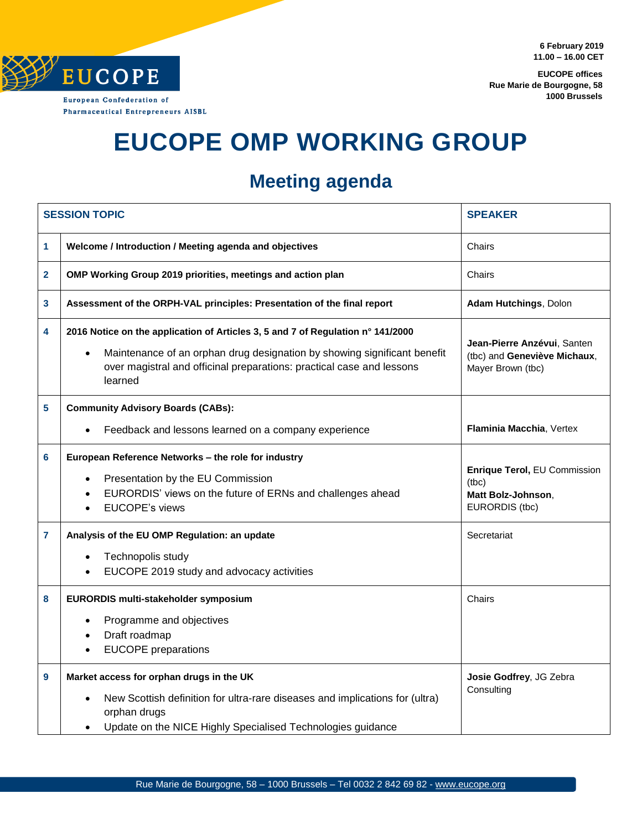**6 February 2019 11.00 – 16.00 CET**

**EUCOPE offices Rue Marie de Bourgogne, 58 1000 Brussels**



## **EUCOPE OMP WORKING GROUP**

## **Meeting agenda**

| <b>SESSION TOPIC</b> |                                                                                                                                                                                                                                                              | <b>SPEAKER</b>                                                                   |
|----------------------|--------------------------------------------------------------------------------------------------------------------------------------------------------------------------------------------------------------------------------------------------------------|----------------------------------------------------------------------------------|
| 1                    | Welcome / Introduction / Meeting agenda and objectives                                                                                                                                                                                                       | Chairs                                                                           |
| $\mathbf{2}$         | OMP Working Group 2019 priorities, meetings and action plan                                                                                                                                                                                                  | Chairs                                                                           |
| 3                    | Assessment of the ORPH-VAL principles: Presentation of the final report                                                                                                                                                                                      | Adam Hutchings, Dolon                                                            |
| 4                    | 2016 Notice on the application of Articles 3, 5 and 7 of Regulation n° 141/2000<br>Maintenance of an orphan drug designation by showing significant benefit<br>$\bullet$<br>over magistral and officinal preparations: practical case and lessons<br>learned | Jean-Pierre Anzévui, Santen<br>(tbc) and Geneviève Michaux,<br>Mayer Brown (tbc) |
| 5                    | <b>Community Advisory Boards (CABs):</b><br>Feedback and lessons learned on a company experience<br>$\bullet$                                                                                                                                                | Flaminia Macchia, Vertex                                                         |
| 6                    | European Reference Networks - the role for industry<br>Presentation by the EU Commission<br>$\bullet$<br>EURORDIS' views on the future of ERNs and challenges ahead<br><b>EUCOPE's views</b>                                                                 | Enrique Terol, EU Commission<br>(tbc)<br>Matt Bolz-Johnson,<br>EURORDIS (tbc)    |
| 7                    | Analysis of the EU OMP Regulation: an update<br>Technopolis study<br>$\bullet$<br>EUCOPE 2019 study and advocacy activities<br>$\bullet$                                                                                                                     | Secretariat                                                                      |
| 8                    | EURORDIS multi-stakeholder symposium<br>Programme and objectives<br>$\bullet$<br>Draft roadmap<br>$\bullet$<br><b>EUCOPE</b> preparations<br>$\bullet$                                                                                                       | Chairs                                                                           |
| 9                    | Market access for orphan drugs in the UK<br>New Scottish definition for ultra-rare diseases and implications for (ultra)<br>$\bullet$<br>orphan drugs<br>Update on the NICE Highly Specialised Technologies guidance                                         | Josie Godfrey, JG Zebra<br>Consulting                                            |